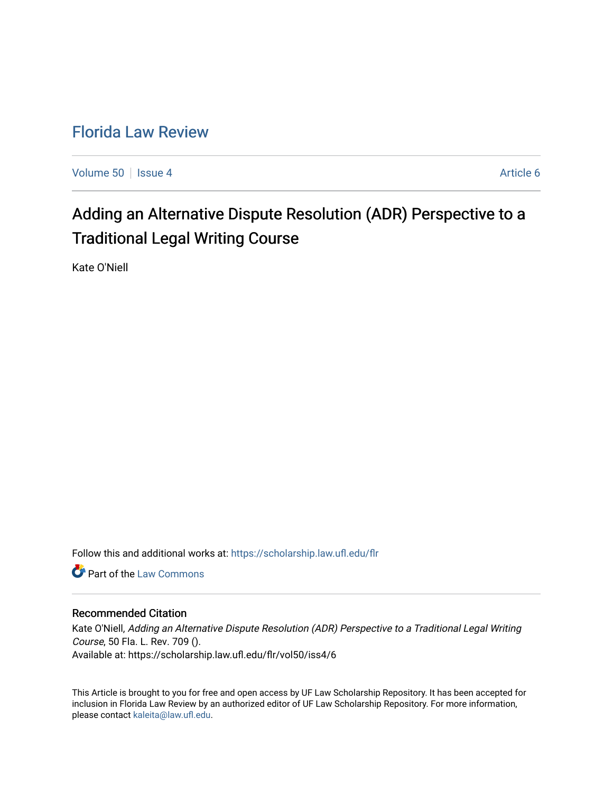## [Florida Law Review](https://scholarship.law.ufl.edu/flr)

[Volume 50](https://scholarship.law.ufl.edu/flr/vol50) | [Issue 4](https://scholarship.law.ufl.edu/flr/vol50/iss4) Article 6

# Adding an Alternative Dispute Resolution (ADR) Perspective to a Traditional Legal Writing Course

Kate O'Niell

Follow this and additional works at: [https://scholarship.law.ufl.edu/flr](https://scholarship.law.ufl.edu/flr?utm_source=scholarship.law.ufl.edu%2Fflr%2Fvol50%2Fiss4%2F6&utm_medium=PDF&utm_campaign=PDFCoverPages)

**C** Part of the [Law Commons](http://network.bepress.com/hgg/discipline/578?utm_source=scholarship.law.ufl.edu%2Fflr%2Fvol50%2Fiss4%2F6&utm_medium=PDF&utm_campaign=PDFCoverPages)

#### Recommended Citation

Kate O'Niell, Adding an Alternative Dispute Resolution (ADR) Perspective to a Traditional Legal Writing Course, 50 Fla. L. Rev. 709 (). Available at: https://scholarship.law.ufl.edu/flr/vol50/iss4/6

This Article is brought to you for free and open access by UF Law Scholarship Repository. It has been accepted for inclusion in Florida Law Review by an authorized editor of UF Law Scholarship Repository. For more information, please contact [kaleita@law.ufl.edu](mailto:kaleita@law.ufl.edu).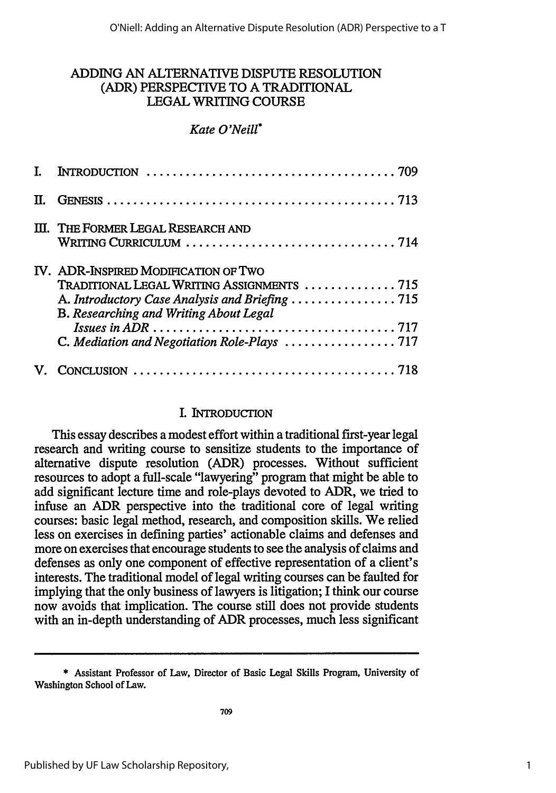## ADDING **AN** ALTERNATIVE **DISPUTE** RESOLUTION (ADR) PERSPECTIVE TO **A** TRADITIONAL **LEGAL** WRITING **COURSE**

#### *Kate O'Neill\**

| III. THE FORMER LEGAL RESEARCH AND                                                                                           |
|------------------------------------------------------------------------------------------------------------------------------|
| IV. ADR-INSPIRED MODIFICATION OF TWO<br>TRADITIONAL LEGAL WRITING ASSIGNMENTS  715<br>B. Researching and Writing About Legal |
|                                                                                                                              |

#### **I.** INTRODUCTION

This essay describes a modest effort within a traditional first-year legal research and writing course to sensitize students to the importance of alternative dispute resolution (ADR) processes. Without sufficient resources to adopt a full-scale "lawyering" program that might be able to add significant lecture time and role-plays devoted to ADR, we tried to infuse an ADR perspective into the traditional core of legal writing courses: basic legal method, research, and composition skills. We relied less on exercises in defining parties' actionable claims and defenses and more on exercises that encourage students to see the analysis of claims and defenses as only one component of effective representation of a client's interests. The traditional model of legal writing courses can be faulted for implying that the only business of lawyers is litigation; I think our course now avoids that implication. The course still does not provide students with an in-depth understanding of ADR processes, much less significant

<sup>\*</sup> Assistant Professor of Law, Director of Basic Legal Skills Program, University of Washington School of Law.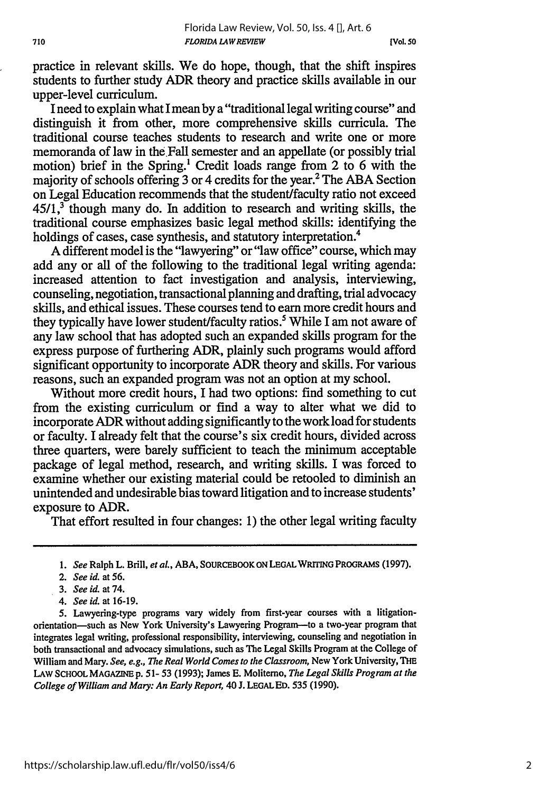practice in relevant skills. We do hope, though, that the shift inspires students to further study ADR theory and practice skills available in our upper-level curriculum.

I need to explain what I mean by a "traditional legal writing course" and distinguish it from other, more comprehensive skills curricula. The traditional course teaches students to research and write one or more memoranda of law in the Fall semester and an appellate (or possibly trial motion) brief in the Spring.<sup>1</sup> Credit loads range from 2 to 6 with the majority of schools offering 3 or 4 credits for the year.<sup>2</sup> The ABA Section on Legal Education recommends that the student/faculty ratio not exceed  $45/1$ ,<sup>3</sup> though many do. In addition to research and writing skills, the traditional course emphasizes basic legal method skills: identifying the holdings of cases, case synthesis, and statutory interpretation.<sup>4</sup>

A different model is the "lawyering" or "law office" course, which may add any or all of the following to the traditional legal writing agenda: increased attention to fact investigation and analysis, interviewing, counseling, negotiation, transactional planning and drafting, trial advocacy skills, and ethical issues. These courses tend to earn more credit hours and they typically have lower student/faculty ratios.<sup>5</sup> While I am not aware of any law school that has adopted such an expanded skills program for the express purpose of furthering ADR, plainly such programs would afford significant opportunity to incorporate ADR theory and skills. For various reasons, such an expanded program was not an option at my school.

Without more credit hours, I had two options: find something to cut from the existing curriculum or find a way to alter what we did to incorporate ADR without adding significantly to the work load for students or faculty. I already felt that the course's six credit hours, divided across three quarters, were barely sufficient to teach the minimum acceptable package of legal method, research, and writing skills. I was forced to examine whether our existing material could be retooled to diminish an unintended and undesirable bias toward litigation and to increase students' exposure to ADR.

That effort resulted in four changes: 1) the other legal writing faculty

*<sup>1.</sup> See* Ralph L. Brill, *et al.,* **ABA,** SOURCEBOOK **ON LEGAL** WRITING PROGRAMS **(1997).**

*<sup>2.</sup> See id.* at **56.**

*<sup>3.</sup> See id. at 74.*

*<sup>4.</sup> See id.* at 16-19.

<sup>5.</sup> Lawyering-type programs vary widely from first-year courses with a litigationorientation-such as New York University's Lawyering Program-to a two-year program that integrates legal writing, professional responsibility, interviewing, counseling and negotiation in both transactional and advocacy simulations, such as The Legal Skills Program at the College of William and Mary. *See, e.g., The Real World Comes to the Classroom,* New York University, THE LAW **SCHOOL MAGAZINE** p. 51- 53 (1993); James **E.** Molitemo, *The Legal Skills Program at the College of William and Mary: An Early Report,* 40 J. **LEGAL ED.** 535 (1990).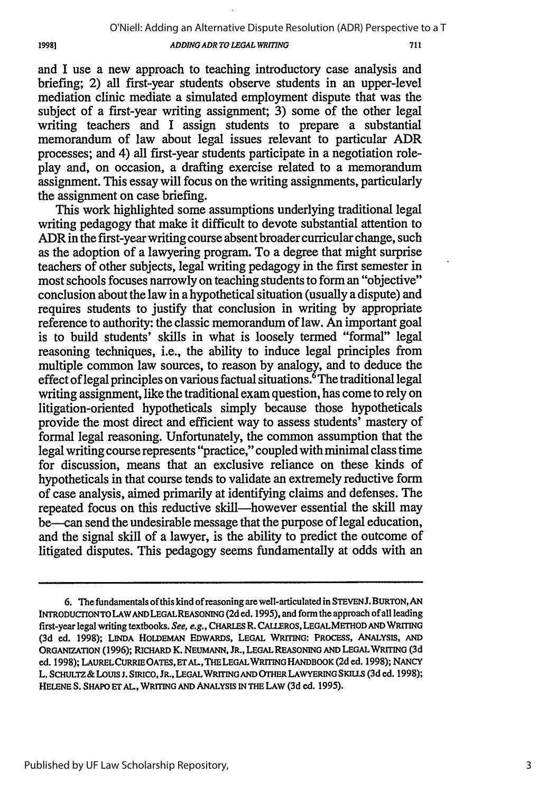#### *ADDING ADR TO LEGAL WRITING*

and I use a new approach to teaching introductory case analysis and briefing; 2) all first-year students observe students in an upper-level mediation clinic mediate a simulated employment dispute that was the subject of a first-year writing assignment; 3) some of the other legal writing teachers and I assign students to prepare a substantial memorandum of law about legal issues relevant to particular ADR processes; and 4) all first-year students participate in a negotiation roleplay and, on occasion, a drafting exercise related to a memorandum assignment. This essay will focus on the writing assignments, particularly the assignment on case briefing.

This work highlighted some assumptions underlying traditional legal writing pedagogy that make it difficult to devote substantial attention to ADR in the first-year writing course absent broader curricular change, such as the adoption of a lawyering program. To a degree that might surprise teachers of other subjects, legal writing pedagogy in the first semester in most schools focuses narrowly on teaching students to form an "objective" conclusion about the law in a hypothetical situation (usually a dispute) and requires students to justify that conclusion in writing by appropriate reference to authority: the classic memorandum of law. An important goal is to build students' skills in what is loosely termed "formal" legal reasoning techniques, i.e., the ability to induce legal principles from multiple common law sources, to reason by analogy, and to deduce the effect of legal principles on various factual situations.<sup> $\delta$ </sup>The traditional legal writing assignment, like the traditional exam question, has come to rely on litigation-oriented hypotheticals simply because those hypotheticals provide the most direct and efficient way to assess students' mastery of formal legal reasoning. Unfortunately, the common assumption that the legal writing course represents "practice," coupled with minimal class time for discussion, means that an exclusive reliance on these kinds of hypotheticals in that course tends to validate an extremely reductive form of case analysis, aimed primarily at identifying claims and defenses. The repeated focus on this reductive skill-however essential the skill may be--can send the undesirable message that the purpose of legal education, and the signal skill of a lawyer, is the ability to predict the outcome of litigated disputes. This pedagogy seems fundamentally at odds with an

**<sup>6.</sup> The** fundamentals of this kind of reasoning are well-articulated in STEVENJ. **BURTON, AN INTRODUCrIONTOLAWANDLEGALREASONING (2d** ed. **1995),** and form the approach of all leading first-year legal writing textbooks. See, e.g., **CHARLES** R. CAuEROS, **LEGALMETHOD AND WRITING** (3d ed. 1998); **LINDA HOLDEMAN EDWARDS, LEGAL WRITING:** PROCESS, ANALYSIS, **AND ORGANIZATION** (1996); RICHARD K. **NEUMANN,** JR., **LEGAL REASONING AND LEGAL WRrrING** (3d ed. 1998); LAURELCURRIE **OATES, ETAL,THE LEGALWRI ING HANDBOOK** (2d ed. 1998); **NANCY** L. **SCHULTZ** &LOUIs **i.** SIRICO, JR., **LEGALWRITING AND OTHER** LAWYERING **SKILS (3d** ed. 1998); HELENE S. SHAPO ET AL., WRITING AND ANALYSIS IN THE LAW (3d ed. 1995).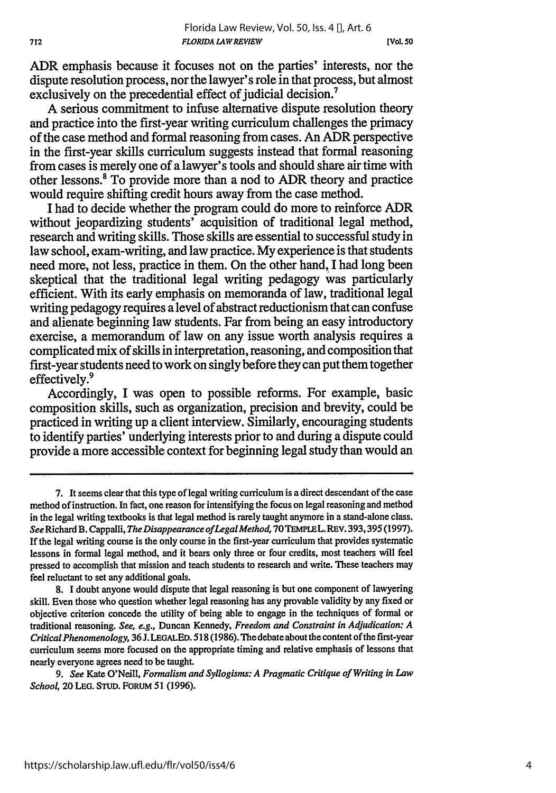ADR emphasis because it focuses not on the parties' interests, nor the dispute resolution process, nor the lawyer's role in that process, but almost exclusively on the precedential effect of judicial decision.<sup>7</sup>

A serious commitment to infuse alternative dispute resolution theory and practice into the first-year writing curriculum challenges the primacy of the case method and formal reasoning from cases. An ADR perspective in the first-year skills curriculum suggests instead that formal reasoning from cases is merely one of a lawyer's tools and should share air time with other lessons.8 To provide more than a nod to ADR theory and practice would require shifting credit hours away from the case method.

I had to decide whether the program could do more to reinforce ADR without jeopardizing students' acquisition of traditional legal method, research and writing skills. Those skills are essential to successful study in law school, exam-writing, and law practice. My experience is that students need more, not less, practice in them. On the other hand, I had long been skeptical that the traditional legal writing pedagogy was particularly efficient. With its early emphasis on memoranda of law, traditional legal writing pedagogy requires a level of abstract reductionism that can confuse and alienate beginning law students. Far from being an easy introductory exercise, a memorandum of law on any issue worth analysis requires a complicated mix of skills in interpretation, reasoning, and composition that first-year students need to work on singly before they can put them together effectively.<sup>9</sup>

Accordingly, I was open to possible reforms. For example, basic composition skills, such as organization, precision and brevity, could be practiced in writing up a client interview. Similarly, encouraging students to identify parties' underlying interests prior to and during a dispute could provide a more accessible context for beginning legal study than would an

**<sup>7.</sup>** It seems clear that this type of legal writing curriculum is a direct descendant of the case method of instruction. In fact, one reason for intensifying the focus on legal reasoning and method in the legal writing textbooks is that legal method is rarely taught anymore in a stand-alone class. *See* Richard B. Cappalli, *The Disappearance ofLegalMethod,* **70TEMPLEL.** REV. 393,395 (1997). **If** the legal writing course is the only course in the first-year curriculum that provides systematic lessons in formal legal method, and it bears only three or four credits, most teachers will feel pressed to accomplish that mission and teach students to research and write. These teachers may feel reluctant to set any additional goals.

<sup>8.</sup> I doubt anyone would dispute that legal reasoning is but one component of lawyering skill. Even those who question whether legal reasoning has any provable validity **by** any fixed or objective criterion concede the utility of being able to engage in the techniques of formal or traditional reasoning. *See, e.g.,* Duncan Kennedy, *Freedom and Constraint in Adjudication: A Critical Phenomenology,* 36J. **LEGALED.** 518 (1986). The debate about the content of the first-year curriculum seems more focused on the appropriate timing and relative emphasis of lessons that nearly everyone agrees need to be taught.

*<sup>9.</sup> See* Kate O'Neill, *Formalism and Syllogisms: A Pragmatic Critique of Writing in Law School,* 20 LEG. **STUD.** FORUM 51 (1996).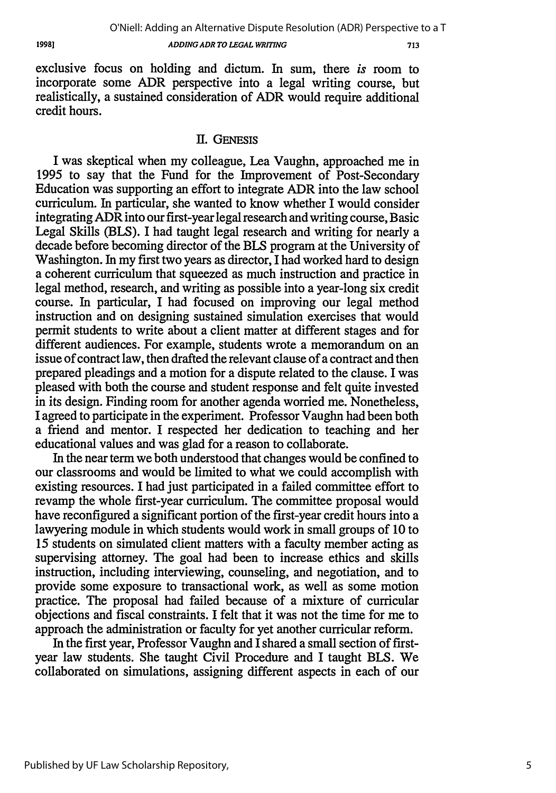*ADDING ADR TO LEGAL WRITING*

713

exclusive focus on holding and dictum. In sum, there *is* room to incorporate some ADR perspective into a legal writing course, but realistically, a sustained consideration of ADR would require additional credit hours.

#### 11. GENEsis

I was skeptical when my colleague, Lea Vaughn, approached me in 1995 to say that the Fund for the Improvement of Post-Secondary Education was supporting an effort to integrate ADR into the law school curriculum. In particular, she wanted to know whether I would consider integrating ADR into our first-year legal research and writing course, Basic Legal Skills (BLS). I had taught legal research and writing for nearly a decade before becoming director of the BLS program at the University of Washington. In my first two years as director, I had worked hard to design a coherent curriculum that squeezed as much instruction and practice in legal method, research, and writing as possible into a year-long six credit course. In particular, I had focused on improving our legal method instruction and on designing sustained simulation exercises that would permit students to write about a client matter at different stages and for different audiences. For example, students wrote a memorandum on an issue of contract law, then drafted the relevant clause of a contract and then prepared pleadings and a motion for a dispute related to the clause. I was pleased with both the course and student response and felt quite invested in its design. Finding room for another agenda worried me. Nonetheless, I agreed to participate in the experiment. Professor Vaughn had been both a friend and mentor. I respected her dedication to teaching and her educational values and was glad for a reason to collaborate.

In the near term we both understood that changes would be confined to our classrooms and would be limited to what we could accomplish with existing resources. I had just participated in a failed committee effort to revamp the whole first-year curriculum. The committee proposal would have reconfigured a significant portion of the first-year credit hours into a lawyering module in which students would work in small groups of 10 to 15 students on simulated client matters with a faculty member acting as supervising attorney. The goal had been to increase ethics and skills instruction, including interviewing, counseling, and negotiation, and to provide some exposure to transactional work, as well as some motion practice. The proposal had failed because of a mixture of curricular objections and fiscal constraints. I felt that it was not the time for me to approach the administration or faculty for yet another curricular reform.

In the first year, Professor Vaughn and I shared a small section of firstyear law students. She taught Civil Procedure and I taught BLS. We collaborated on simulations, assigning different aspects in each of our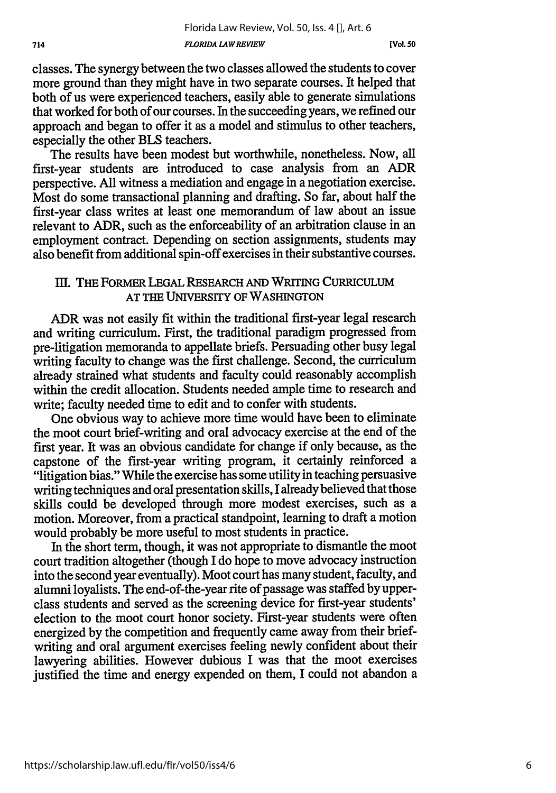**[Vol. so**

classes. The synergy between the two classes allowed the students to cover more ground than they might have in two separate courses. It helped that both of us were experienced teachers, easily able to generate simulations that worked for both of our courses. In the succeeding years, we refined our approach and began to offer it as a model and stimulus to other teachers, especially the other BLS teachers.

The results have been modest but worthwhile, nonetheless. Now, all first-year students are introduced to case analysis from an ADR perspective. All witness a mediation and engage in a negotiation exercise. Most do some transactional planning and drafting. So far, about half the first-year class writes at least one memorandum of law about an issue relevant to ADR, such as the enforceability of an arbitration clause in an employment contract. Depending on section assignments, students may also benefit from additional spin-off exercises in their substantive courses.

## **III. THE** FORMER LEGAL RESEARCH AND WRTING CURRICULUM AT THE UNIVERSITY OF WASHINGTON

ADR was not easily fit within the traditional first-year legal research and writing curriculum. First, the traditional paradigm progressed from pre-litigation memoranda to appellate briefs. Persuading other busy legal writing faculty to change was the first challenge. Second, the curriculum already strained what students and faculty could reasonably accomplish within the credit allocation. Students needed ample time to research and write; faculty needed time to edit and to confer with students.

One obvious way to achieve more time would have been to eliminate the moot court brief-writing and oral advocacy exercise at the end of the first year. It was an obvious candidate for change if only because, as the capstone of the first-year writing program, it certainly reinforced a "litigation bias." While the exercise has some utility in teaching persuasive writing techniques and oral presentation skills, I already believed that those skills could be developed through more modest exercises, such as a motion. Moreover, from a practical standpoint, learning to draft a motion would probably be more useful to most students in practice.

In the short term, though, it was not appropriate to dismantle the moot court tradition altogether (though I do hope to move advocacy instruction into the second year eventually). Moot court has many student, faculty, and alumni loyalists. The end-of-the-year rite of passage was staffed by upperclass students and served as the screening device for first-year students' election to the moot court honor society. First-year students were often energized by the competition and frequently came away from their briefwriting and oral argument exercises feeling newly confident about their lawyering abilities. However dubious I was that the moot exercises justified the time and energy expended on them, I could not abandon a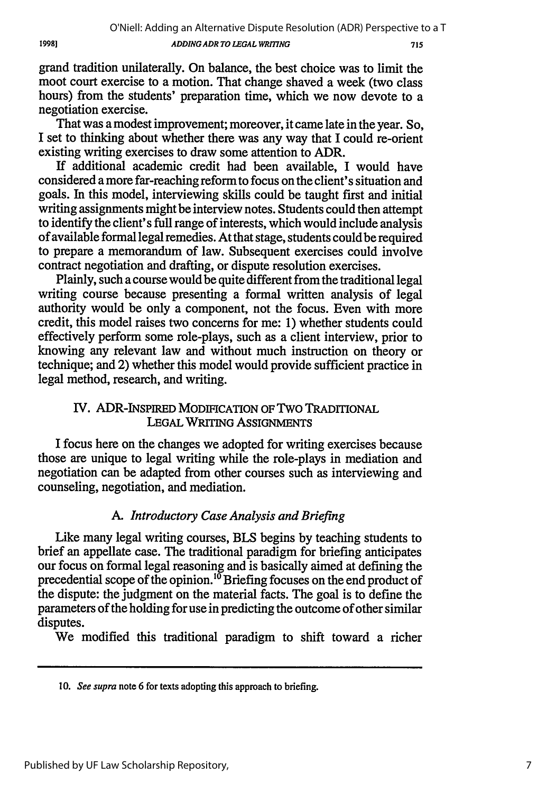19981

#### *ADDING ADR TO LEGAL WRITING*

grand tradition unilaterally. On balance, the best choice was to limit the moot court exercise to a motion. That change shaved a week (two class hours) from the students' preparation time, which we now devote to a negotiation exercise.

That was a modest improvement; moreover, it came late in the year. So, I set to thinking about whether there was any way that I could re-orient existing writing exercises to draw some attention to ADR.

If additional academic credit had been available, I would have considered a more far-reaching reform to focus on the client's situation and goals. In this model, interviewing skills could be taught first and initial writing assignments might be interview notes. Students could then attempt to identify the client's full range of interests, which would include analysis of available formal legal remedies. At that stage, students could be required to prepare a memorandum of law. Subsequent exercises could involve contract negotiation and drafting, or dispute resolution exercises.

Plainly, such a course would be quite different from the traditional legal writing course because presenting a formal written analysis of legal authority would be only a component, not the focus. Even with more credit, this model raises two concerns for me: 1) whether students could effectively perform some role-plays, such as a client interview, prior to knowing any relevant law and without much instruction on theory or technique; and 2) whether this model would provide sufficient practice in legal method, research, and writing.

## IV. ADR-INSPIRED MODIFICATION OF TWO TRADITIONAL **LEGAL** WRITING **ASSIGNMENTS**

I focus here on the changes we adopted for writing exercises because those are unique to legal writing while the role-plays in mediation and negotiation can be adapted from other courses such as interviewing and counseling, negotiation, and mediation.

## *A. Introductory Case Analysis and Briefing*

Like many legal writing courses, BLS begins by teaching students to brief an appellate case. The traditional paradigm for briefing anticipates our focus on formal legal reasoning and is basically aimed at defining the precedential scope of the opinion.<sup>10</sup> Briefing focuses on the end product of the dispute: the judgment on the material facts. The goal is to define the parameters of the holding for use in predicting the outcome of other similar disputes.

We modified this traditional paradigm to shift toward a richer

**<sup>10.</sup>** *See* supra note **6** for texts adopting this approach to briefing.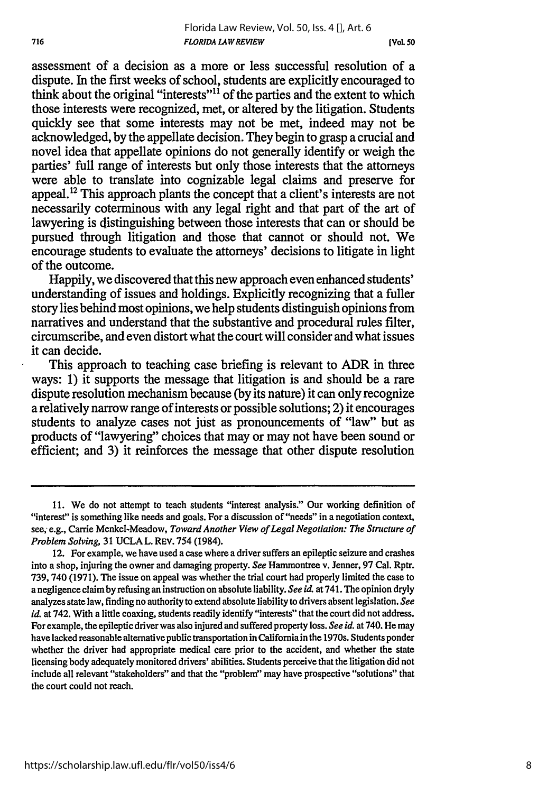**[Vol.** *50*

assessment of a decision as a more or less successful resolution of a dispute. In the first weeks of school, students are explicitly encouraged to think about the original "interests"11 of the parties and the extent to which those interests were recognized, met, or altered by the litigation. Students quickly see that some interests may not be met, indeed may not be acknowledged, by the appellate decision. They begin to grasp a crucial and novel idea that appellate opinions do not generally identify or weigh the parties' full range of interests but only those interests that the attorneys were able to translate into cognizable legal claims and preserve for appeal.<sup>12</sup> This approach plants the concept that a client's interests are not necessarily coterminous with any legal right and that part of the art of lawyering is distinguishing between those interests that can or should be pursued through litigation and those that cannot or should not. We encourage students to evaluate the attorneys' decisions to litigate in light of the outcome.

Happily, we discovered that this new approach even enhanced students' understanding of issues and holdings. Explicitly recognizing that a fuller story lies behind most opinions, we help students distinguish opinions from narratives and understand that the substantive and procedural rules filter, circumscribe, and even distort what the court will consider and what issues it can decide.

This approach to teaching case briefing is relevant to ADR in three ways: 1) it supports the message that litigation is and should be a rare dispute resolution mechanism because (by its nature) it can only recognize a relatively narrow range of interests or possible solutions; 2) it encourages students to analyze cases not just as pronouncements of "law" but as products of "lawyering" choices that may or may not have been sound or efficient; and 3) it reinforces the message that other dispute resolution

<sup>11.</sup> We do not attempt to teach students "interest analysis." Our working definition of "interest" is something like needs and goals. For a discussion of "needs" in a negotiation context, see; e.g., Carrie Menkel-Meadow, *Toward Another View of Legal Negotiation: The Structure of Problem Solving,* 31 UCLA L. REV. 754 (1984).

<sup>12.</sup> For example, we have used a case where a driver suffers an epileptic seizure and crashes into a shop, injuring the owner and damaging property. *See* Hammontree v. Jenner, 97 Cal. Rptr. 739, 740 (1971). The issue on appeal was whether the trial court had properly limited the case to a negligence claim by refusing an instruction on absolute liability. *See id.* at 741. **The** opinion dryly analyzes state law, finding no authority to extend absolute liability to drivers absent legislation. *See id.* at 742. With a little coaxing, students readily identify "interests" that the court did not address. For example, the epileptic driver was also injured and suffered property loss. *See id.* at 740. He may have lacked reasonable alternative public transportation in California in the 1970s. Students ponder whether the driver had appropriate medical care prior to the accident, and whether the state licensing body adequately monitored drivers' abilities. Students perceive that the litigation did not include all relevant "stakeholders" and that the "problem" may have prospective "solutions" that the court could not reach.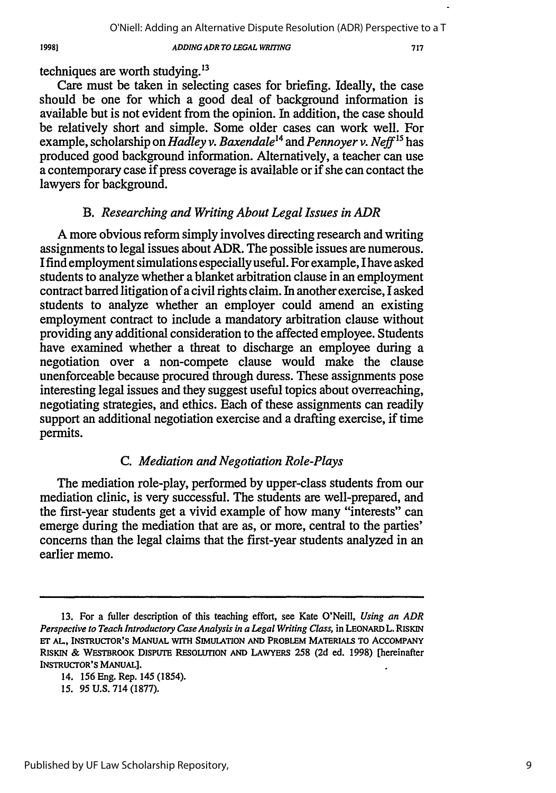#### *ADDING ADR TO LEGAL WRITING*

techniques are worth studying. $^{13}$ 

Care must be taken in selecting cases for briefing. Ideally, the case should be one for which a good deal of background information is available but is not evident from the opinion. In addition, the case should be relatively short and simple. Some older cases can work well. For example, scholarship on *Hadley v. Baxendale*<sup>14</sup> and *Pennoyer v. Neff*<sup>15</sup> has produced good background information. Alternatively, a teacher can use a contemporary case if press coverage is available or if she can contact the lawyers for background.

#### *B. Researching and Writing About Legal Issues in ADR*

A more obvious reform simply involves directing research and writing assignments to legal issues about ADR. The possible issues are numerous. I find employment simulations especially useful. For example, I have asked students to analyze whether a blanket arbitration clause in an employment contract barred litigation of a civil rights claim. In another exercise, I asked students to analyze whether an employer could amend an existing employment contract to include a mandatory arbitration clause without providing any additional consideration to the affected employee. Students have examined whether a threat to discharge an employee during a negotiation over a non-compete clause would make the clause unenforceable because procured through duress. These assignments pose interesting legal issues and they suggest useful topics about overreaching, negotiating strategies, and ethics. Each of these assignments can readily support an additional negotiation exercise and a drafting exercise, if time permits.

#### *C. Mediation and Negotiation Role-Plays*

The mediation role-play, performed by upper-class students from our mediation clinic, is very successful. The students are well-prepared, and the first-year students get a vivid example of how many "interests" can emerge during the mediation that are as, or more, central to the parties' concerns than the legal claims that the first-year students analyzed in an earlier memo.

*15.* 95 U.S. 714 (1877).

<sup>13.</sup> For a fuller description of this teaching effort, see Kate O'Neill, *Using an ADR Perspective to Teach Introductory Case Analysis in a Legal Writing Class,* in LEONARD L. RISKIN **ET" AL,** INSTRUCTOR'S MANUAL WITH SIMULATION **AND** PROBLEM MATERIALS TO ACCOMPANY RISKIN & WESTBROOK DISPUTE RESOLUTION AND LAWYERS 258 (2d ed. **1998)** [hereinafter INSTRUCTOR'S MANUAL].

<sup>14. 156</sup> Eng. Rep. 145 (1854).